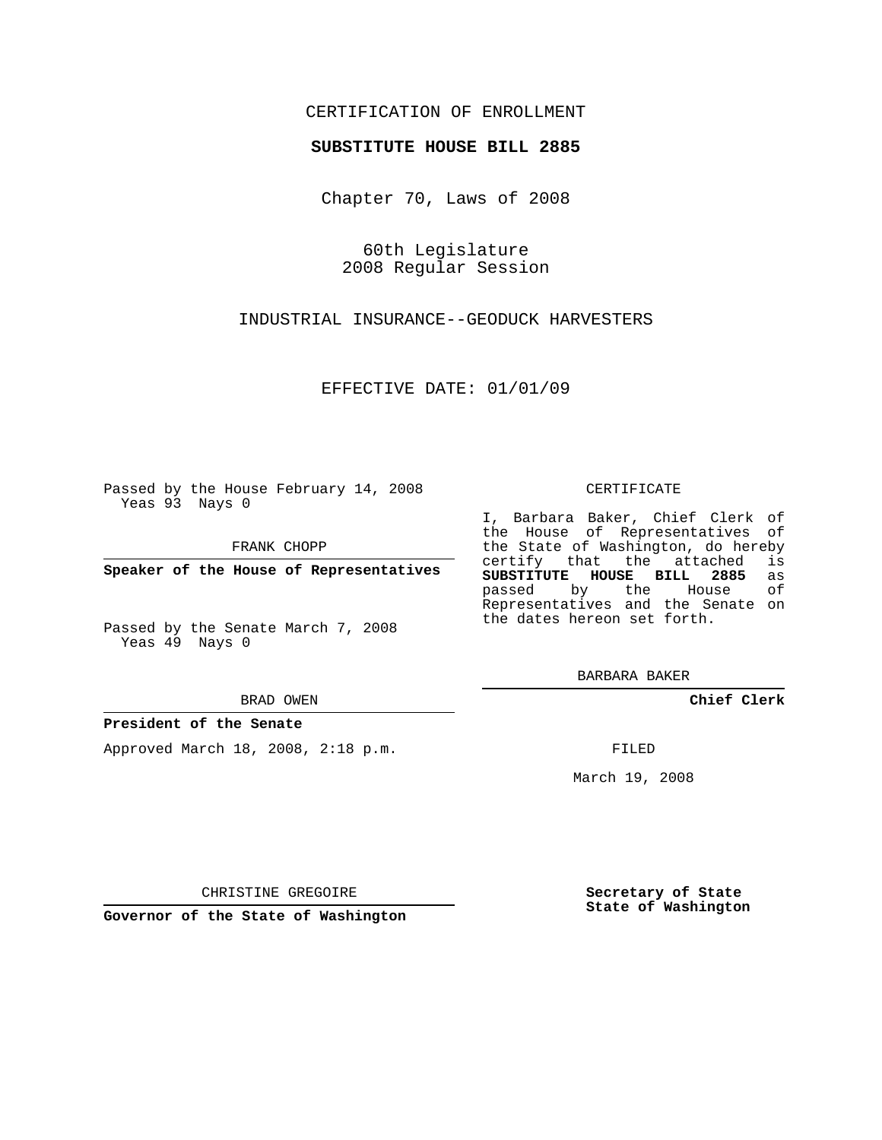## CERTIFICATION OF ENROLLMENT

## **SUBSTITUTE HOUSE BILL 2885**

Chapter 70, Laws of 2008

60th Legislature 2008 Regular Session

INDUSTRIAL INSURANCE--GEODUCK HARVESTERS

EFFECTIVE DATE: 01/01/09

Passed by the House February 14, 2008 Yeas 93 Nays 0

FRANK CHOPP

**Speaker of the House of Representatives**

Passed by the Senate March 7, 2008 Yeas 49 Nays 0

#### BRAD OWEN

### **President of the Senate**

Approved March 18, 2008, 2:18 p.m.

#### CERTIFICATE

I, Barbara Baker, Chief Clerk of the House of Representatives of the State of Washington, do hereby<br>certify that the attached is certify that the attached **SUBSTITUTE HOUSE BILL 2885** as passed by the House Representatives and the Senate on the dates hereon set forth.

BARBARA BAKER

**Chief Clerk**

FILED

March 19, 2008

CHRISTINE GREGOIRE

**Governor of the State of Washington**

**Secretary of State State of Washington**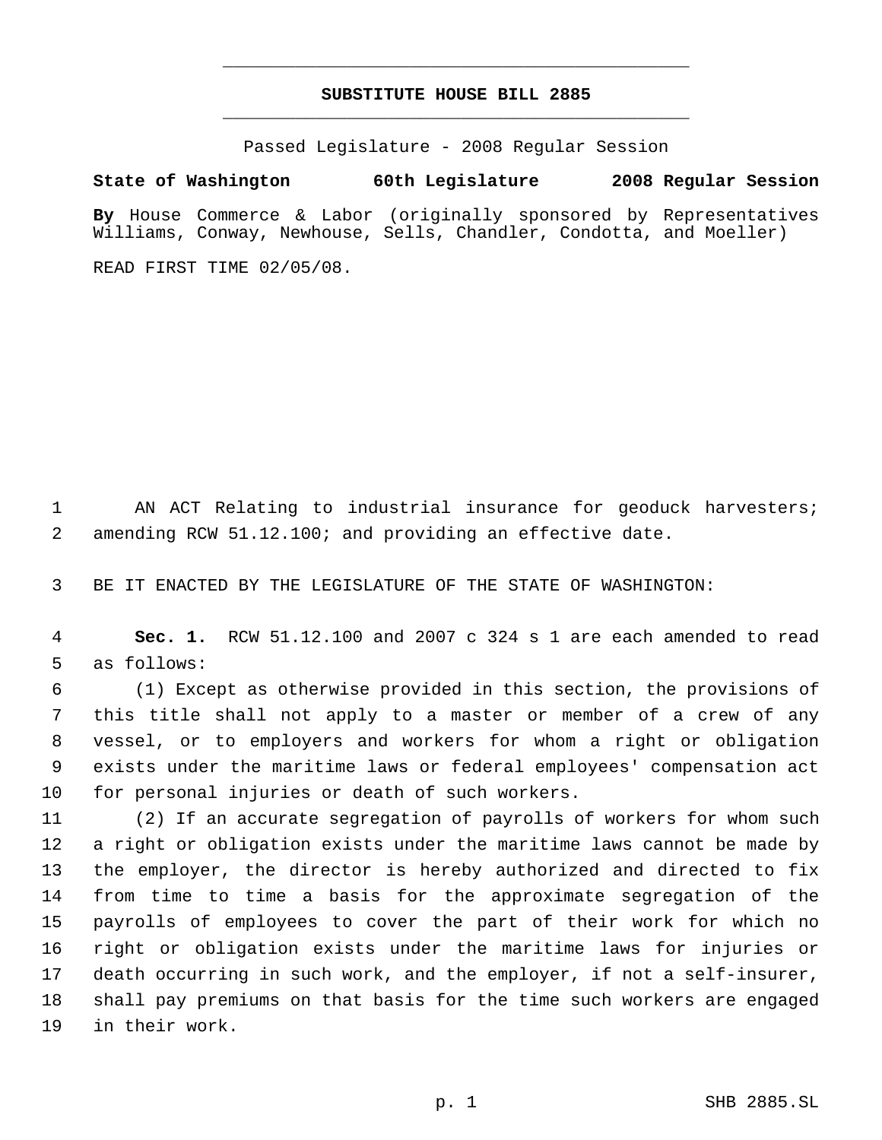# **SUBSTITUTE HOUSE BILL 2885** \_\_\_\_\_\_\_\_\_\_\_\_\_\_\_\_\_\_\_\_\_\_\_\_\_\_\_\_\_\_\_\_\_\_\_\_\_\_\_\_\_\_\_\_\_

\_\_\_\_\_\_\_\_\_\_\_\_\_\_\_\_\_\_\_\_\_\_\_\_\_\_\_\_\_\_\_\_\_\_\_\_\_\_\_\_\_\_\_\_\_

Passed Legislature - 2008 Regular Session

# **State of Washington 60th Legislature 2008 Regular Session**

**By** House Commerce & Labor (originally sponsored by Representatives Williams, Conway, Newhouse, Sells, Chandler, Condotta, and Moeller)

READ FIRST TIME 02/05/08.

1 AN ACT Relating to industrial insurance for geoduck harvesters; amending RCW 51.12.100; and providing an effective date.

BE IT ENACTED BY THE LEGISLATURE OF THE STATE OF WASHINGTON:

 **Sec. 1.** RCW 51.12.100 and 2007 c 324 s 1 are each amended to read as follows:

 (1) Except as otherwise provided in this section, the provisions of this title shall not apply to a master or member of a crew of any vessel, or to employers and workers for whom a right or obligation exists under the maritime laws or federal employees' compensation act for personal injuries or death of such workers.

 (2) If an accurate segregation of payrolls of workers for whom such a right or obligation exists under the maritime laws cannot be made by the employer, the director is hereby authorized and directed to fix from time to time a basis for the approximate segregation of the payrolls of employees to cover the part of their work for which no right or obligation exists under the maritime laws for injuries or death occurring in such work, and the employer, if not a self-insurer, shall pay premiums on that basis for the time such workers are engaged in their work.